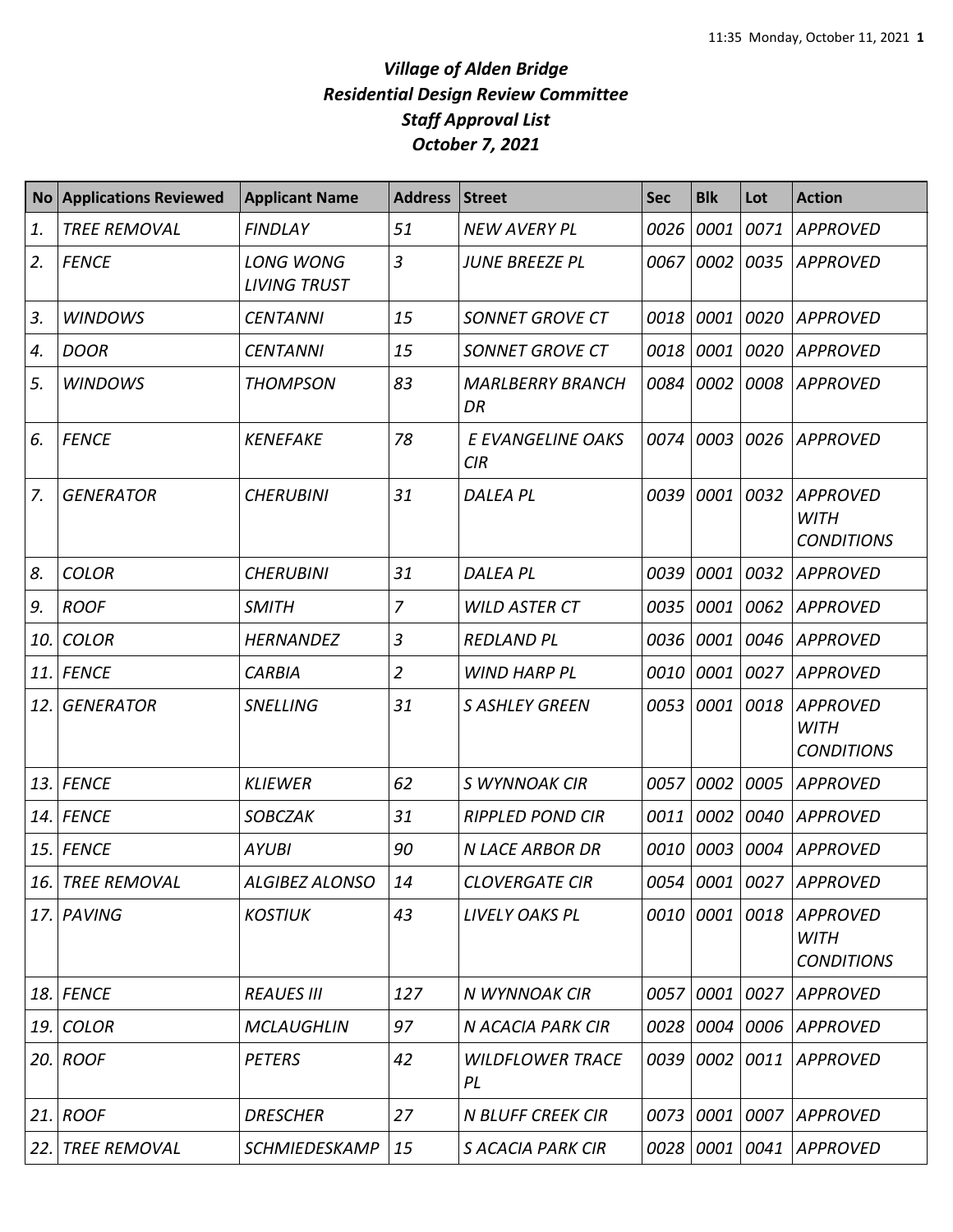| <b>No</b> | <b>Applications Reviewed</b> | <b>Applicant Name</b>                   | Address Street |                                 | <b>Sec</b> | <b>Blk</b> | Lot  | <b>Action</b>                                               |
|-----------|------------------------------|-----------------------------------------|----------------|---------------------------------|------------|------------|------|-------------------------------------------------------------|
| 1.        | <b>TREE REMOVAL</b>          | <b>FINDLAY</b>                          | 51             | <b>NEW AVERY PL</b>             | 0026       | 0001       | 0071 | <b>APPROVED</b>                                             |
| 2.        | <b>FENCE</b>                 | <b>LONG WONG</b><br><b>LIVING TRUST</b> | 3              | <b>JUNE BREEZE PL</b>           | 0067       | 0002       | 0035 | <b>APPROVED</b>                                             |
| 3.        | <b>WINDOWS</b>               | <b>CENTANNI</b>                         | 15             | <b>SONNET GROVE CT</b>          | 0018       | 0001       |      | 0020 APPROVED                                               |
| 4.        | <b>DOOR</b>                  | <b>CENTANNI</b>                         | 15             | <b>SONNET GROVE CT</b>          | 0018       | 0001       | 0020 | <b>APPROVED</b>                                             |
| 5.        | <b>WINDOWS</b>               | <b>THOMPSON</b>                         | 83             | <b>MARLBERRY BRANCH</b><br>DR   | 0084       | 0002       |      | 0008 APPROVED                                               |
| 6.        | <b>FENCE</b>                 | <b>KENEFAKE</b>                         | 78             | E EVANGELINE OAKS<br><b>CIR</b> | 0074       | 0003       |      | 0026 APPROVED                                               |
| 7.        | <b>GENERATOR</b>             | <b>CHERUBINI</b>                        | 31             | <b>DALEA PL</b>                 | 0039       | 0001       | 0032 | <b>APPROVED</b><br><b>WITH</b><br><b>CONDITIONS</b>         |
| 8.        | <b>COLOR</b>                 | <b>CHERUBINI</b>                        | 31             | <b>DALEA PL</b>                 | 0039       | 0001       | 0032 | <b>APPROVED</b>                                             |
| 9.        | <b>ROOF</b>                  | <b>SMITH</b>                            | 7              | <b>WILD ASTER CT</b>            | 0035       | 0001       | 0062 | <b>APPROVED</b>                                             |
| 10.       | <b>COLOR</b>                 | <b>HERNANDEZ</b>                        | 3              | <b>REDLAND PL</b>               | 0036       | 0001       | 0046 | <b>APPROVED</b>                                             |
| 11.       | <b>FENCE</b>                 | <b>CARBIA</b>                           | $\overline{2}$ | <b>WIND HARP PL</b>             | 0010       | 0001       | 0027 | <b>APPROVED</b>                                             |
| 12.       | <b>GENERATOR</b>             | <b>SNELLING</b>                         | 31             | <b>S ASHLEY GREEN</b>           | 0053       | 0001       | 0018 | <b>APPROVED</b><br><b>WITH</b><br><b>CONDITIONS</b>         |
| 13.       | <b>FENCE</b>                 | <b>KLIEWER</b>                          | 62             | S WYNNOAK CIR                   | 0057       | 0002       | 0005 | <b>APPROVED</b>                                             |
| 14.       | <b>FENCE</b>                 | <b>SOBCZAK</b>                          | 31             | <b>RIPPLED POND CIR</b>         | 0011       | 0002       | 0040 | <b>APPROVED</b>                                             |
| 15.       | <b>FENCE</b>                 | <b>AYUBI</b>                            | 90             | <b>N LACE ARBOR DR</b>          | 0010       | 0003       | 0004 | <b>APPROVED</b>                                             |
|           | 16. TREE REMOVAL             | <b>ALGIBEZ ALONSO</b>                   | 14             | <b>CLOVERGATE CIR</b>           |            |            |      | 0054   0001   0027   APPROVED                               |
|           | 17. PAVING                   | <b>KOSTIUK</b>                          | 43             | <b>LIVELY OAKS PL</b>           |            |            |      | 0010 0001 0018 APPROVED<br><b>WITH</b><br><b>CONDITIONS</b> |
|           | 18. FENCE                    | <b>REAUES III</b>                       | 127            | N WYNNOAK CIR                   | 0057       | 0001       |      | 0027 APPROVED                                               |
| 19.       | <b>COLOR</b>                 | <b>MCLAUGHLIN</b>                       | 97             | N ACACIA PARK CIR               | 0028       |            |      | 0004 0006 APPROVED                                          |
|           | 20. ROOF                     | <b>PETERS</b>                           | 42             | <b>WILDFLOWER TRACE</b><br>PL   | 0039       |            |      | 0002 0011 APPROVED                                          |
| 21.       | <b>ROOF</b>                  | <b>DRESCHER</b>                         | 27             | <b>N BLUFF CREEK CIR</b>        | 0073       |            |      | 0001 0007 APPROVED                                          |
|           | 22. TREE REMOVAL             | SCHMIEDESKAMP                           | 15             | <b>S ACACIA PARK CIR</b>        | 0028       |            |      | 0001 0041 APPROVED                                          |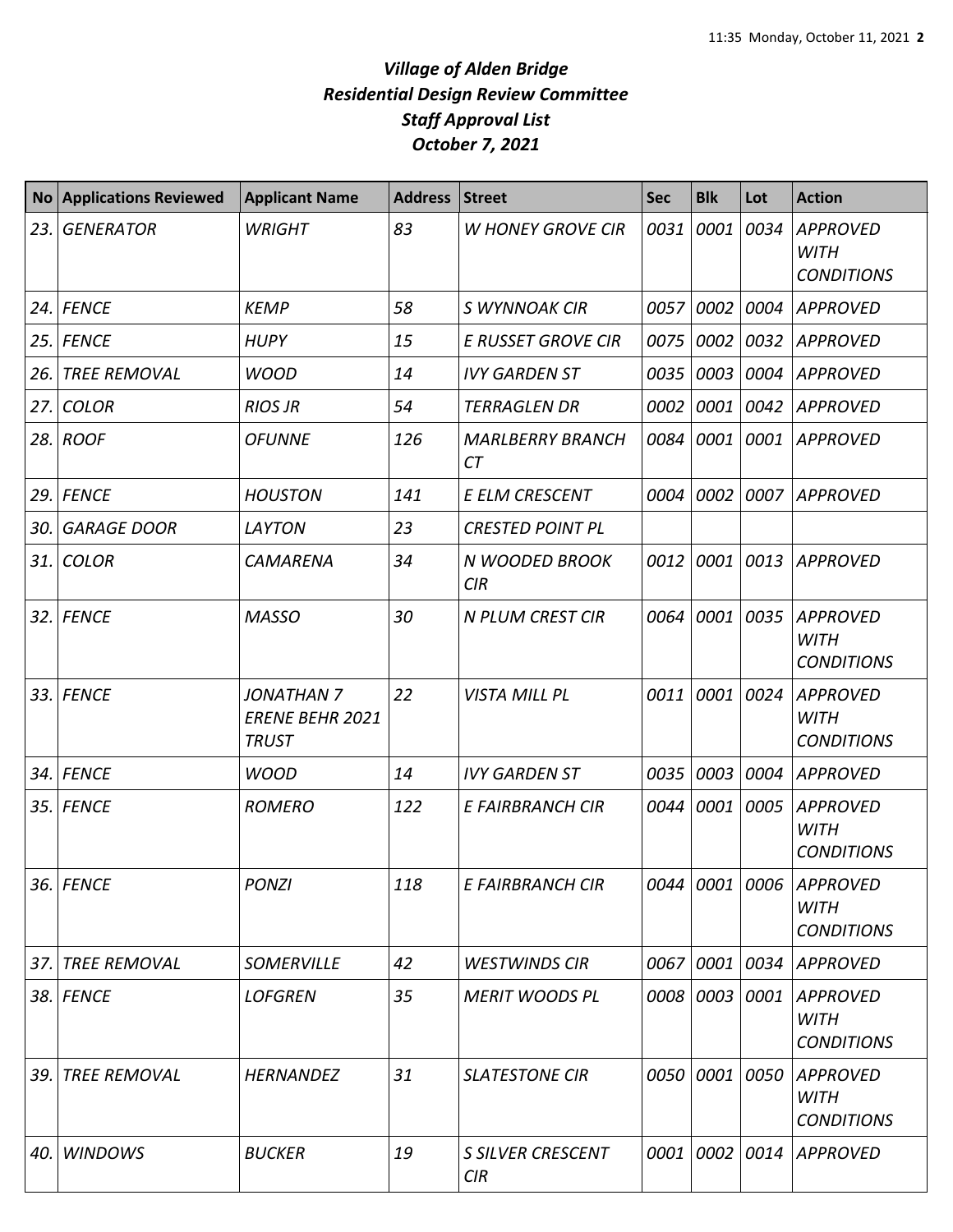| <b>No</b> | <b>Applications Reviewed</b> | <b>Applicant Name</b>                                       | <b>Address</b> | <b>Street</b>                        | <b>Sec</b> | <b>Blk</b> | Lot  | <b>Action</b>                                               |
|-----------|------------------------------|-------------------------------------------------------------|----------------|--------------------------------------|------------|------------|------|-------------------------------------------------------------|
| 23.       | <b>GENERATOR</b>             | <b>WRIGHT</b>                                               | 83             | <b>W HONEY GROVE CIR</b>             | 0031       | 0001       | 0034 | <b>APPROVED</b><br><b>WITH</b><br><b>CONDITIONS</b>         |
|           | $24.$ FENCE                  | <b>KEMP</b>                                                 | 58             | S WYNNOAK CIR                        | 0057       | 0002       | 0004 | <b>APPROVED</b>                                             |
| 25.       | <b>FENCE</b>                 | <b>HUPY</b>                                                 | 15             | <b>E RUSSET GROVE CIR</b>            | 0075       | 0002       | 0032 | <b>APPROVED</b>                                             |
| 26.       | <b>TREE REMOVAL</b>          | <b>WOOD</b>                                                 | 14             | <b>IVY GARDEN ST</b>                 | 0035       | 0003       | 0004 | <b>APPROVED</b>                                             |
| 27.       | <b>COLOR</b>                 | <b>RIOS JR</b>                                              | 54             | <b>TERRAGLEN DR</b>                  | 0002       | 0001       | 0042 | <b>APPROVED</b>                                             |
|           | 28. ROOF                     | <b>OFUNNE</b>                                               | 126            | <b>MARLBERRY BRANCH</b><br><b>CT</b> | 0084       | 0001       | 0001 | <b>APPROVED</b>                                             |
| 29.       | <b>FENCE</b>                 | <b>HOUSTON</b>                                              | 141            | E ELM CRESCENT                       | 0004       | 0002       | 0007 | <b>APPROVED</b>                                             |
| 30.       | <b>GARAGE DOOR</b>           | LAYTON                                                      | 23             | <b>CRESTED POINT PL</b>              |            |            |      |                                                             |
|           | $31.$ COLOR                  | CAMARENA                                                    | 34             | N WOODED BROOK<br>CIR                | 0012       | 0001       | 0013 | <b>APPROVED</b>                                             |
|           | 32. FENCE                    | <b>MASSO</b>                                                | 30             | <b>N PLUM CREST CIR</b>              | 0064       | 0001       | 0035 | <b>APPROVED</b><br><b>WITH</b><br><b>CONDITIONS</b>         |
|           | 33. FENCE                    | <b>JONATHAN 7</b><br><b>ERENE BEHR 2021</b><br><b>TRUST</b> | 22             | <b>VISTA MILL PL</b>                 | 0011       | 0001       | 0024 | <b>APPROVED</b><br><b>WITH</b><br><b>CONDITIONS</b>         |
|           | 34. FENCE                    | <b>WOOD</b>                                                 | 14             | <b>IVY GARDEN ST</b>                 | 0035       | 0003       | 0004 | <b>APPROVED</b>                                             |
|           | 35. FENCE                    | <b>ROMERO</b>                                               | 122            | E FAIRBRANCH CIR                     | 0044       | 0001       | 0005 | <b>APPROVED</b><br><b>WITH</b><br><b>CONDITIONS</b>         |
|           | 36. FENCE                    | <b>PONZI</b>                                                | 118            | E FAIRBRANCH CIR                     |            |            |      | 0044 0001 0006 APPROVED<br><b>WITH</b><br><b>CONDITIONS</b> |
| 37.       | <b>TREE REMOVAL</b>          | <b>SOMERVILLE</b>                                           | 42             | <b>WESTWINDS CIR</b>                 | 0067       | 0001       | 0034 | <b>APPROVED</b>                                             |
|           | 38. FENCE                    | <b>LOFGREN</b>                                              | 35             | <b>MERIT WOODS PL</b>                | 0008       | 0003       | 0001 | <b>APPROVED</b><br><b>WITH</b><br><b>CONDITIONS</b>         |
| 39.       | <b>TREE REMOVAL</b>          | <b>HERNANDEZ</b>                                            | 31             | <b>SLATESTONE CIR</b>                | 0050       | 0001       | 0050 | <b>APPROVED</b><br><b>WITH</b><br><b>CONDITIONS</b>         |
| 40.       | <b>WINDOWS</b>               | <b>BUCKER</b>                                               | 19             | <b>S SILVER CRESCENT</b><br>CIR      | 0001       | 0002       | 0014 | <b>APPROVED</b>                                             |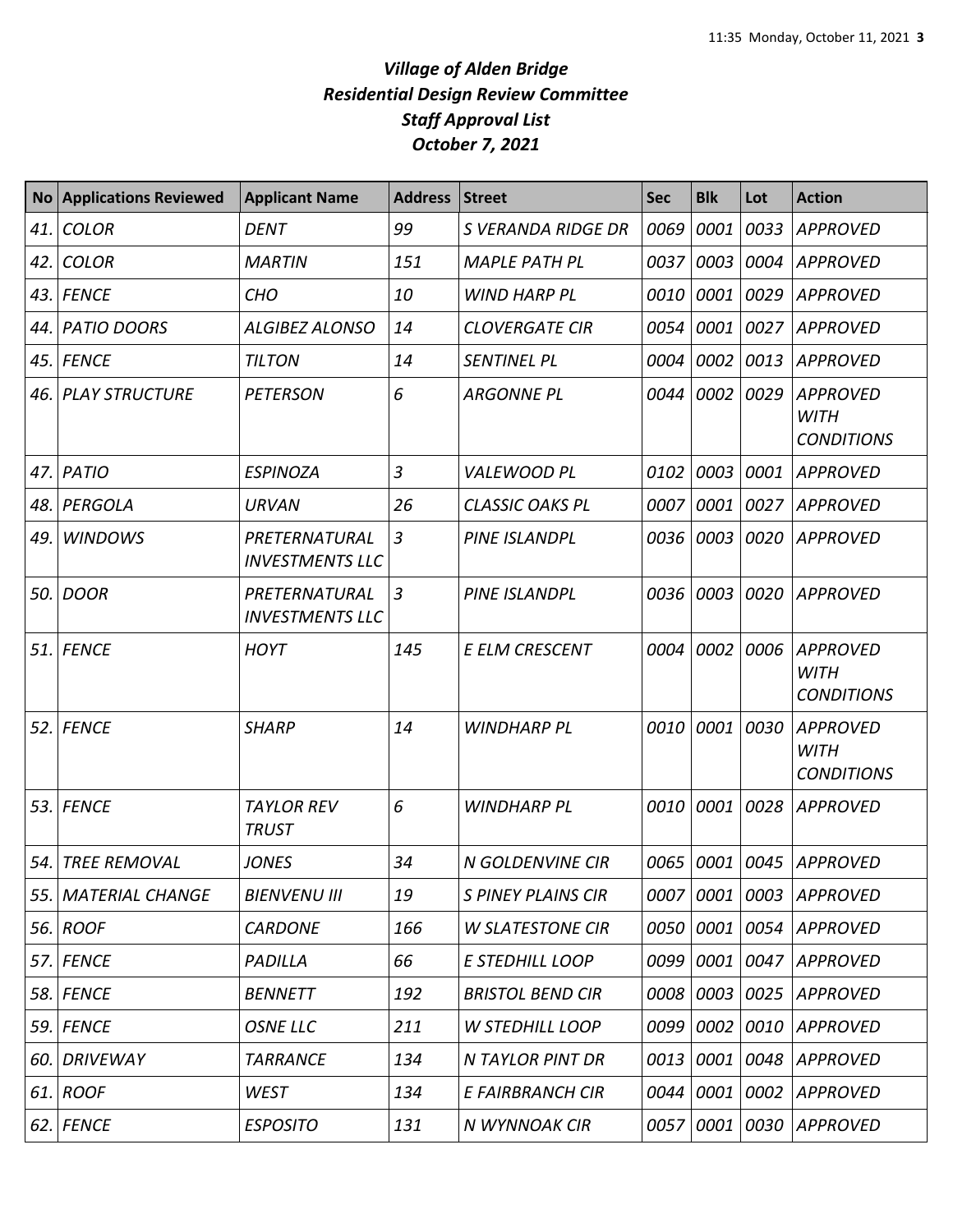| <b>No</b> | <b>Applications Reviewed</b> | <b>Applicant Name</b>                   | <b>Address</b> | <b>Street</b>             | <b>Sec</b> | <b>Blk</b> | Lot  | <b>Action</b>                                       |
|-----------|------------------------------|-----------------------------------------|----------------|---------------------------|------------|------------|------|-----------------------------------------------------|
| 41.       | <b>COLOR</b>                 | <b>DENT</b>                             | 99             | S VERANDA RIDGE DR        | 0069       | 0001       | 0033 | <b>APPROVED</b>                                     |
| 42.       | <b>COLOR</b>                 | <b>MARTIN</b>                           | 151            | <b>MAPLE PATH PL</b>      | 0037       | 0003       |      | 0004 APPROVED                                       |
| 43.       | <b>FENCE</b>                 | <b>CHO</b>                              | 10             | <b>WIND HARP PL</b>       | 0010       | 0001       | 0029 | <b>APPROVED</b>                                     |
| 44.       | <b>PATIO DOORS</b>           | <b>ALGIBEZ ALONSO</b>                   | 14             | <b>CLOVERGATE CIR</b>     | 0054       | 0001       | 0027 | <b>APPROVED</b>                                     |
| 45.       | <b>FENCE</b>                 | <b>TILTON</b>                           | 14             | <b>SENTINEL PL</b>        | 0004       | 0002       | 0013 | <b>APPROVED</b>                                     |
| 46.       | <b>PLAY STRUCTURE</b>        | <b>PETERSON</b>                         | 6              | <b>ARGONNE PL</b>         | 0044       | 0002       | 0029 | <b>APPROVED</b><br><b>WITH</b><br><b>CONDITIONS</b> |
| 47.       | PATIO                        | <b>ESPINOZA</b>                         | 3              | <b>VALEWOOD PL</b>        | 0102       | 0003       | 0001 | <b>APPROVED</b>                                     |
| 48.       | PERGOLA                      | <b>URVAN</b>                            | 26             | <b>CLASSIC OAKS PL</b>    | 0007       | 0001       | 0027 | <b>APPROVED</b>                                     |
| 49.       | <b>WINDOWS</b>               | PRETERNATURAL<br><b>INVESTMENTS LLC</b> | $\overline{3}$ | <b>PINE ISLANDPL</b>      | 0036       | 0003       | 0020 | <b>APPROVED</b>                                     |
| 50.       | <b>DOOR</b>                  | PRETERNATURAL<br><b>INVESTMENTS LLC</b> | 3              | <b>PINE ISLANDPL</b>      | 0036       | 0003       | 0020 | <b>APPROVED</b>                                     |
| 51.       | <b>FENCE</b>                 | <b>HOYT</b>                             | 145            | <b>E ELM CRESCENT</b>     | 0004       | 0002       | 0006 | <b>APPROVED</b><br><b>WITH</b><br><b>CONDITIONS</b> |
| 52.       | <b>FENCE</b>                 | <b>SHARP</b>                            | 14             | <b>WINDHARP PL</b>        | 0010       | 0001       | 0030 | <b>APPROVED</b><br><b>WITH</b><br><b>CONDITIONS</b> |
| 53.       | <b>FENCE</b>                 | <b>TAYLOR REV</b><br><b>TRUST</b>       | 6              | <b>WINDHARP PL</b>        | 0010       | 0001       | 0028 | <b>APPROVED</b>                                     |
| 54.       | <b>TREE REMOVAL</b>          | <b>JONES</b>                            | 34             | N GOLDENVINE CIR          | 0065       | 0001       |      | 0045 APPROVED                                       |
| 55.       | <b>MATERIAL CHANGE</b>       | <b>BIENVENU III</b>                     | 19             | <b>S PINEY PLAINS CIR</b> | 0007       |            |      | 0001 0003 APPROVED                                  |
|           | 56. ROOF                     | <b>CARDONE</b>                          | 166            | <b>W SLATESTONE CIR</b>   | 0050       | 0001       |      | 0054 APPROVED                                       |
|           | 57. FENCE                    | PADILLA                                 | 66             | E STEDHILL LOOP           | 0099       | 0001       |      | 0047 APPROVED                                       |
|           | 58. FENCE                    | <b>BENNETT</b>                          | 192            | <b>BRISTOL BEND CIR</b>   | 0008       |            |      | 0003 0025 APPROVED                                  |
|           | 59. FENCE                    | <b>OSNE LLC</b>                         | 211            | <b>W STEDHILL LOOP</b>    | 0099       | 0002       |      | 0010 APPROVED                                       |
| 60.       | <b>DRIVEWAY</b>              | <b>TARRANCE</b>                         | 134            | N TAYLOR PINT DR          | 0013       | 0001       |      | 0048 APPROVED                                       |
|           | 61. ROOF                     | <b>WEST</b>                             | 134            | E FAIRBRANCH CIR          | 0044       | 0001       |      | 0002 APPROVED                                       |
|           | 62. FENCE                    | <b>ESPOSITO</b>                         | 131            | N WYNNOAK CIR             | 0057       | 0001       |      | 0030 APPROVED                                       |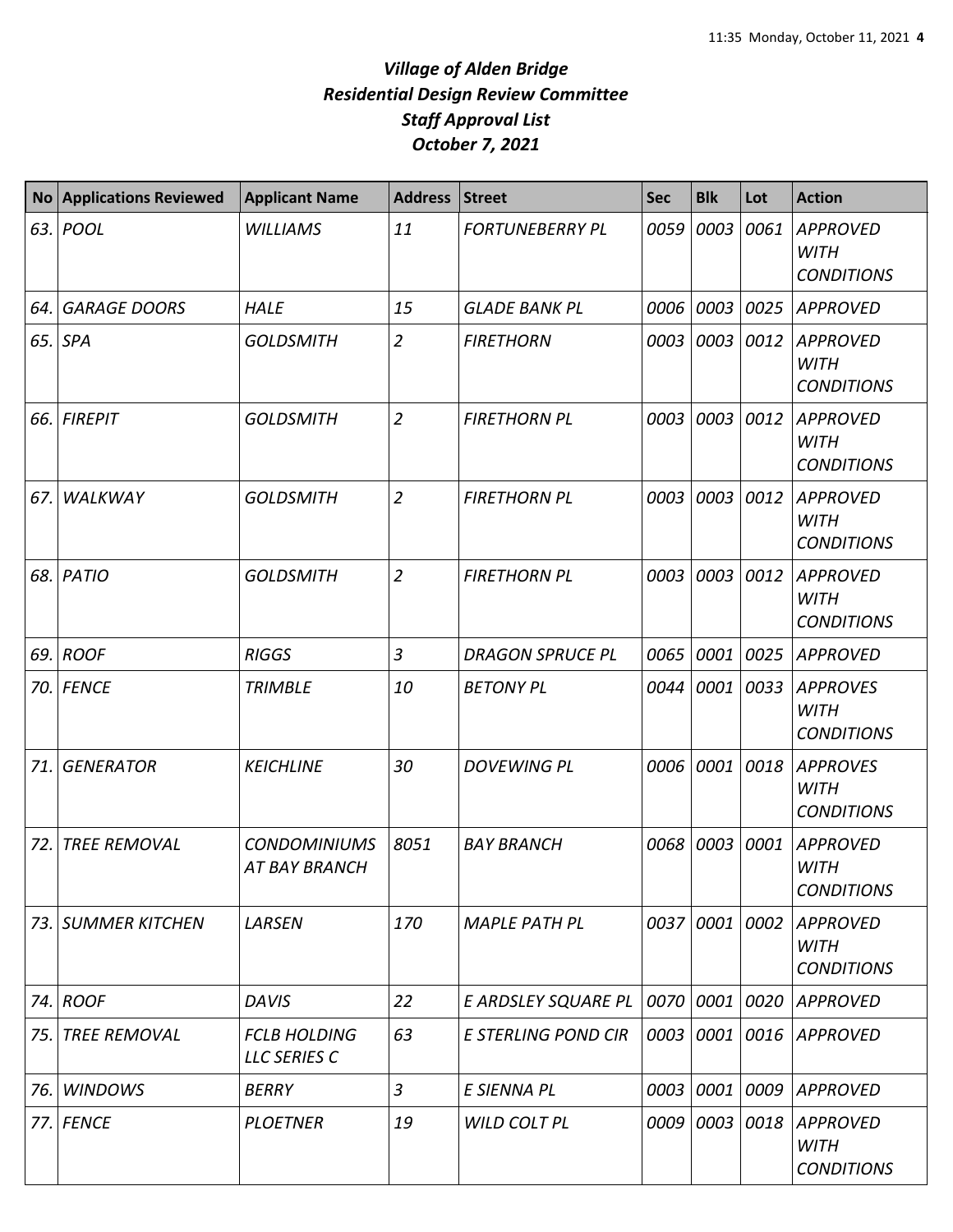| <b>No</b> | <b>Applications Reviewed</b> | <b>Applicant Name</b>                       | <b>Address</b> | <b>Street</b>              | <b>Sec</b> | <b>Blk</b> | Lot  | <b>Action</b>                                       |
|-----------|------------------------------|---------------------------------------------|----------------|----------------------------|------------|------------|------|-----------------------------------------------------|
|           | 63. POOL                     | <b>WILLIAMS</b>                             | 11             | <b>FORTUNEBERRY PL</b>     | 0059       | 0003       | 0061 | <b>APPROVED</b><br><b>WITH</b><br><b>CONDITIONS</b> |
| 64.       | <b>GARAGE DOORS</b>          | <b>HALE</b>                                 | 15             | <b>GLADE BANK PL</b>       | 0006       | 0003       | 0025 | <b>APPROVED</b>                                     |
|           | $65.$ SPA                    | <b>GOLDSMITH</b>                            | $\overline{2}$ | <b>FIRETHORN</b>           | 0003       | 0003       | 0012 | <b>APPROVED</b><br><b>WITH</b><br><b>CONDITIONS</b> |
| 66.       | <b>FIREPIT</b>               | <b>GOLDSMITH</b>                            | $\overline{2}$ | <b>FIRETHORN PL</b>        | 0003       | 0003       | 0012 | <b>APPROVED</b><br><b>WITH</b><br><b>CONDITIONS</b> |
| 67.       | WALKWAY                      | <b>GOLDSMITH</b>                            | $\overline{2}$ | <b>FIRETHORN PL</b>        | 0003       | 0003       | 0012 | <b>APPROVED</b><br><b>WITH</b><br><b>CONDITIONS</b> |
| 68.       | PATIO                        | <b>GOLDSMITH</b>                            | $\overline{2}$ | <b>FIRETHORN PL</b>        | 0003       | 0003       | 0012 | <b>APPROVED</b><br><b>WITH</b><br><b>CONDITIONS</b> |
| 69.       | <b>ROOF</b>                  | <b>RIGGS</b>                                | $\mathfrak{Z}$ | <b>DRAGON SPRUCE PL</b>    | 0065       | 0001       | 0025 | <b>APPROVED</b>                                     |
|           | 70. FENCE                    | <b>TRIMBLE</b>                              | 10             | <b>BETONY PL</b>           | 0044       | 0001       | 0033 | <b>APPROVES</b><br><b>WITH</b><br><b>CONDITIONS</b> |
| 71.       | <b>GENERATOR</b>             | <b>KEICHLINE</b>                            | 30             | <b>DOVEWING PL</b>         | 0006       | 0001       | 0018 | <b>APPROVES</b><br><b>WITH</b><br><b>CONDITIONS</b> |
| 72.       | <b>TREE REMOVAL</b>          | <b>CONDOMINIUMS</b><br><b>AT BAY BRANCH</b> | 8051           | <b>BAY BRANCH</b>          | 0068       | 0003       | 0001 | <b>APPROVED</b><br><b>WITH</b><br><b>CONDITIONS</b> |
|           | 73. SUMMER KITCHEN           | LARSEN                                      | 170            | <b>MAPLE PATH PL</b>       | 0037       | 0001       | 0002 | <b>APPROVED</b><br><b>WITH</b><br><b>CONDITIONS</b> |
|           | 74. ROOF                     | <b>DAVIS</b>                                | 22             | E ARDSLEY SQUARE PL        | 0070       | 0001       | 0020 | <b>APPROVED</b>                                     |
| 75.       | <b>TREE REMOVAL</b>          | <b>FCLB HOLDING</b><br>LLC SERIES C         | 63             | <b>E STERLING POND CIR</b> | 0003       | 0001       | 0016 | <b>APPROVED</b>                                     |
| 76.       | <b>WINDOWS</b>               | <b>BERRY</b>                                | $\mathfrak{Z}$ | E SIENNA PL                | 0003       | 0001       | 0009 | <b>APPROVED</b>                                     |
| 77.       | <b>FENCE</b>                 | <b>PLOETNER</b>                             | 19             | <b>WILD COLT PL</b>        | 0009       | 0003       | 0018 | <b>APPROVED</b><br><b>WITH</b><br><b>CONDITIONS</b> |